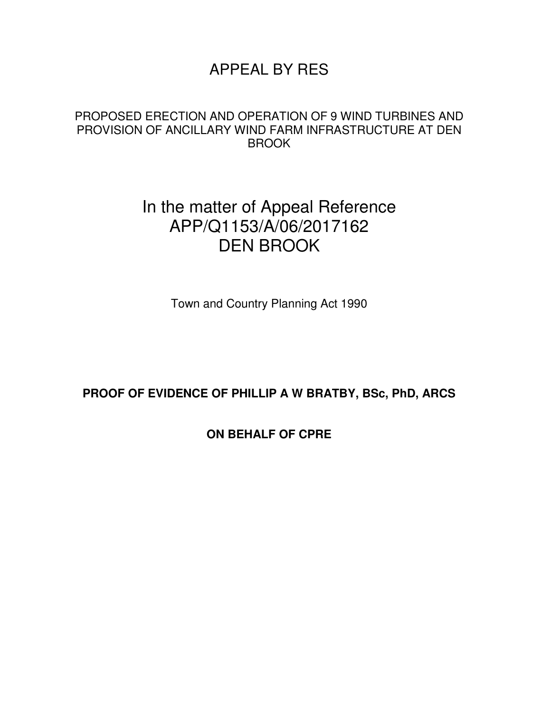# APPEAL BY RES

### PROPOSED ERECTION AND OPERATION OF 9 WIND TURBINES AND PROVISION OF ANCILLARY WIND FARM INFRASTRUCTURE AT DEN BROOK

# In the matter of Appeal Reference APP/Q1153/A/06/2017162 DEN BROOK

Town and Country Planning Act 1990

### **PROOF OF EVIDENCE OF PHILLIP A W BRATBY, BSc, PhD, ARCS**

## **ON BEHALF OF CPRE**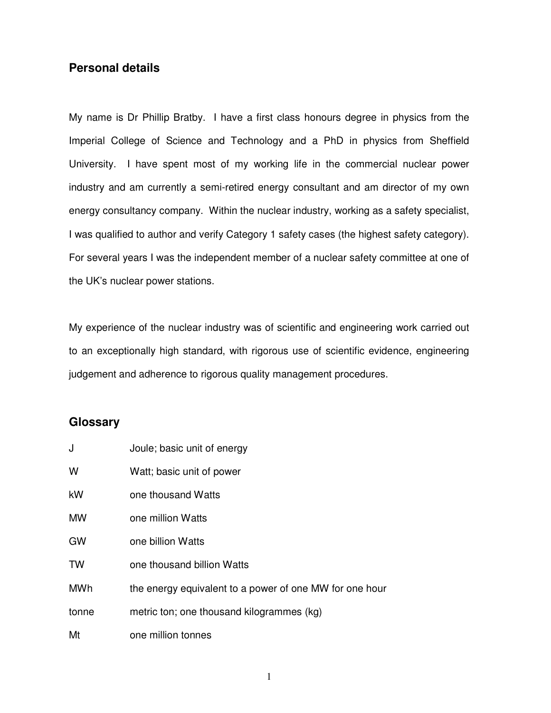#### **Personal details**

My name is Dr Phillip Bratby. I have a first class honours degree in physics from the Imperial College of Science and Technology and a PhD in physics from Sheffield University. I have spent most of my working life in the commercial nuclear power industry and am currently a semi-retired energy consultant and am director of my own energy consultancy company. Within the nuclear industry, working as a safety specialist, I was qualified to author and verify Category 1 safety cases (the highest safety category). For several years I was the independent member of a nuclear safety committee at one of the UK's nuclear power stations.

My experience of the nuclear industry was of scientific and engineering work carried out to an exceptionally high standard, with rigorous use of scientific evidence, engineering judgement and adherence to rigorous quality management procedures.

#### **Glossary**

| J     | Joule; basic unit of energy                             |
|-------|---------------------------------------------------------|
| W     | Watt; basic unit of power                               |
| kW    | one thousand Watts                                      |
| МW    | one million Watts                                       |
| GW    | one billion Watts                                       |
| TW    | one thousand billion Watts                              |
| MWh   | the energy equivalent to a power of one MW for one hour |
| tonne | metric ton; one thousand kilogrammes (kg)               |
| Mt    | one million tonnes                                      |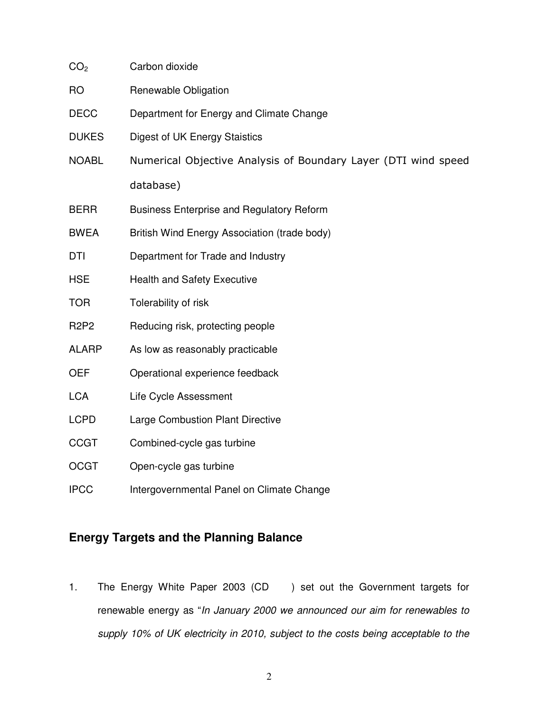| CO <sub>2</sub> | Carbon dioxide                                                 |  |  |  |  |  |
|-----------------|----------------------------------------------------------------|--|--|--|--|--|
| <b>RO</b>       | Renewable Obligation                                           |  |  |  |  |  |
| <b>DECC</b>     | Department for Energy and Climate Change                       |  |  |  |  |  |
| <b>DUKES</b>    | Digest of UK Energy Staistics                                  |  |  |  |  |  |
| <b>NOABL</b>    | Numerical Objective Analysis of Boundary Layer (DTI wind speed |  |  |  |  |  |
|                 | database)                                                      |  |  |  |  |  |
| <b>BERR</b>     | <b>Business Enterprise and Regulatory Reform</b>               |  |  |  |  |  |
| <b>BWEA</b>     | British Wind Energy Association (trade body)                   |  |  |  |  |  |
| <b>DTI</b>      | Department for Trade and Industry                              |  |  |  |  |  |
| <b>HSE</b>      | <b>Health and Safety Executive</b>                             |  |  |  |  |  |
| <b>TOR</b>      | Tolerability of risk                                           |  |  |  |  |  |
| <b>R2P2</b>     | Reducing risk, protecting people                               |  |  |  |  |  |
| <b>ALARP</b>    | As low as reasonably practicable                               |  |  |  |  |  |
| <b>OEF</b>      | Operational experience feedback                                |  |  |  |  |  |
| <b>LCA</b>      | Life Cycle Assessment                                          |  |  |  |  |  |
| <b>LCPD</b>     | <b>Large Combustion Plant Directive</b>                        |  |  |  |  |  |
| <b>CCGT</b>     | Combined-cycle gas turbine                                     |  |  |  |  |  |
| <b>OCGT</b>     | Open-cycle gas turbine                                         |  |  |  |  |  |
| <b>IPCC</b>     | Intergovernmental Panel on Climate Change                      |  |  |  |  |  |

# **Energy Targets and the Planning Balance**

1. The Energy White Paper 2003 (CD ) set out the Government targets for renewable energy as "In January 2000 we announced our aim for renewables to supply 10% of UK electricity in 2010, subject to the costs being acceptable to the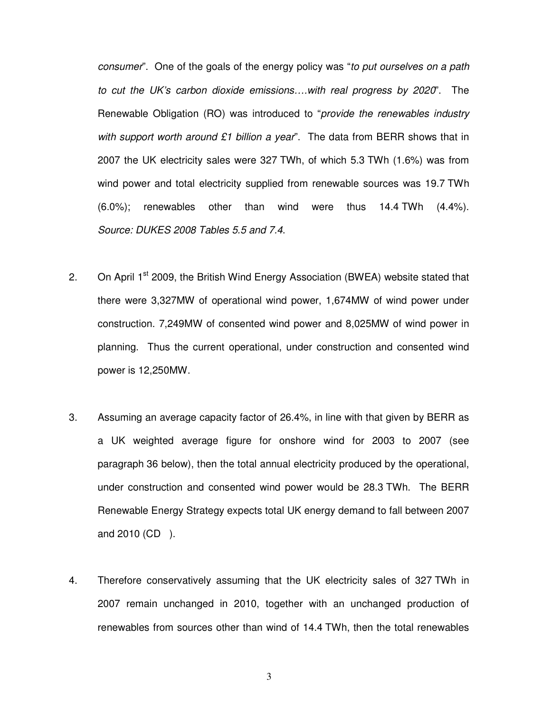consumer". One of the goals of the energy policy was "to put ourselves on a path to cut the UK's carbon dioxide emissions….with real progress by 2020". The Renewable Obligation (RO) was introduced to "provide the renewables industry with support worth around £1 billion a year". The data from BERR shows that in 2007 the UK electricity sales were 327 TWh, of which 5.3 TWh (1.6%) was from wind power and total electricity supplied from renewable sources was 19.7 TWh (6.0%); renewables other than wind were thus 14.4 TWh (4.4%). Source: DUKES 2008 Tables 5.5 and 7.4.

- 2. On April 1<sup>st</sup> 2009, the British Wind Energy Association (BWEA) website stated that there were 3,327MW of operational wind power, 1,674MW of wind power under construction. 7,249MW of consented wind power and 8,025MW of wind power in planning. Thus the current operational, under construction and consented wind power is 12,250MW.
- 3. Assuming an average capacity factor of 26.4%, in line with that given by BERR as a UK weighted average figure for onshore wind for 2003 to 2007 (see paragraph 36 below), then the total annual electricity produced by the operational, under construction and consented wind power would be 28.3 TWh. The BERR Renewable Energy Strategy expects total UK energy demand to fall between 2007 and 2010 (CD ).
- 4. Therefore conservatively assuming that the UK electricity sales of 327 TWh in 2007 remain unchanged in 2010, together with an unchanged production of renewables from sources other than wind of 14.4 TWh, then the total renewables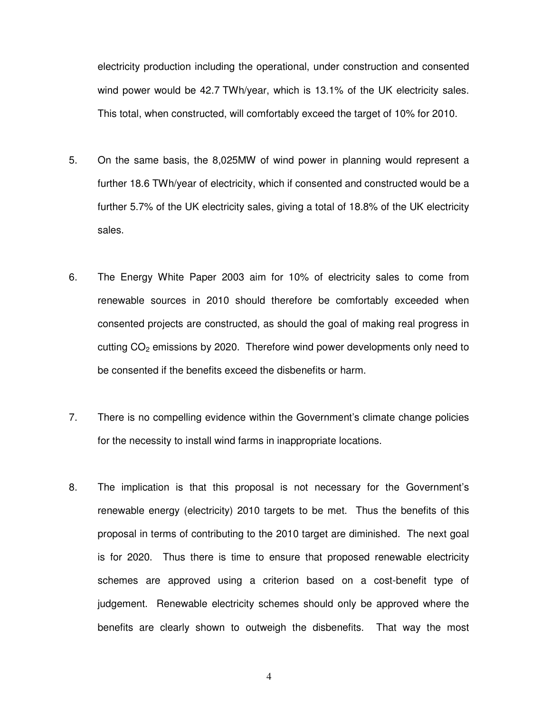electricity production including the operational, under construction and consented wind power would be 42.7 TWh/year, which is 13.1% of the UK electricity sales. This total, when constructed, will comfortably exceed the target of 10% for 2010.

- 5. On the same basis, the 8,025MW of wind power in planning would represent a further 18.6 TWh/year of electricity, which if consented and constructed would be a further 5.7% of the UK electricity sales, giving a total of 18.8% of the UK electricity sales.
- 6. The Energy White Paper 2003 aim for 10% of electricity sales to come from renewable sources in 2010 should therefore be comfortably exceeded when consented projects are constructed, as should the goal of making real progress in cutting CO<sub>2</sub> emissions by 2020. Therefore wind power developments only need to be consented if the benefits exceed the disbenefits or harm.
- 7. There is no compelling evidence within the Government's climate change policies for the necessity to install wind farms in inappropriate locations.
- 8. The implication is that this proposal is not necessary for the Government's renewable energy (electricity) 2010 targets to be met. Thus the benefits of this proposal in terms of contributing to the 2010 target are diminished. The next goal is for 2020. Thus there is time to ensure that proposed renewable electricity schemes are approved using a criterion based on a cost-benefit type of judgement. Renewable electricity schemes should only be approved where the benefits are clearly shown to outweigh the disbenefits. That way the most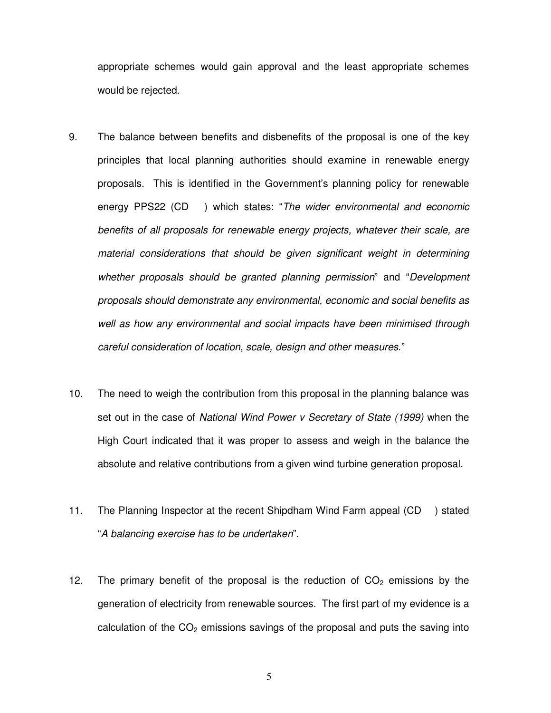appropriate schemes would gain approval and the least appropriate schemes would be rejected.

- 9. The balance between benefits and disbenefits of the proposal is one of the key principles that local planning authorities should examine in renewable energy proposals. This is identified in the Government's planning policy for renewable energy PPS22 (CD) which states: "The wider environmental and economic benefits of all proposals for renewable energy projects, whatever their scale, are material considerations that should be given significant weight in determining whether proposals should be granted planning permission" and "Development proposals should demonstrate any environmental, economic and social benefits as well as how any environmental and social impacts have been minimised through careful consideration of location, scale, design and other measures."
- 10. The need to weigh the contribution from this proposal in the planning balance was set out in the case of National Wind Power v Secretary of State (1999) when the High Court indicated that it was proper to assess and weigh in the balance the absolute and relative contributions from a given wind turbine generation proposal.
- 11. The Planning Inspector at the recent Shipdham Wind Farm appeal (CD ) stated "A balancing exercise has to be undertaken".
- 12. The primary benefit of the proposal is the reduction of  $CO<sub>2</sub>$  emissions by the generation of electricity from renewable sources. The first part of my evidence is a calculation of the  $CO<sub>2</sub>$  emissions savings of the proposal and puts the saving into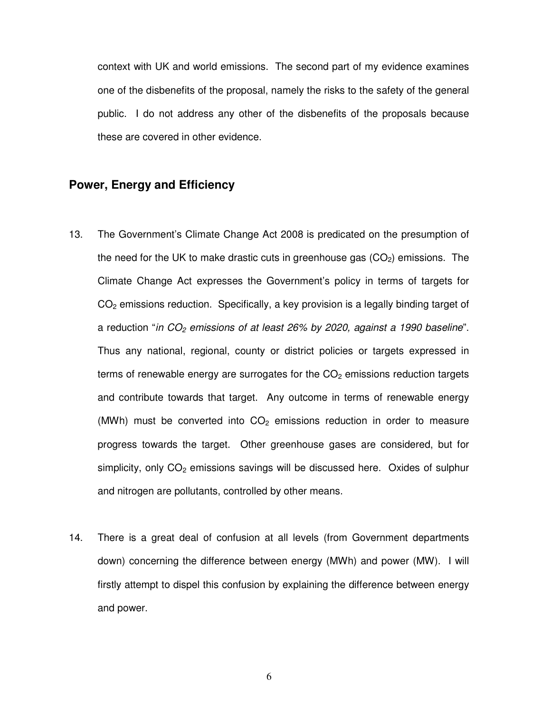context with UK and world emissions. The second part of my evidence examines one of the disbenefits of the proposal, namely the risks to the safety of the general public. I do not address any other of the disbenefits of the proposals because these are covered in other evidence.

#### **Power, Energy and Efficiency**

- 13. The Government's Climate Change Act 2008 is predicated on the presumption of the need for the UK to make drastic cuts in greenhouse gas  $(CO<sub>2</sub>)$  emissions. The Climate Change Act expresses the Government's policy in terms of targets for  $CO<sub>2</sub>$  emissions reduction. Specifically, a key provision is a legally binding target of a reduction "in  $CO<sub>2</sub>$  emissions of at least 26% by 2020, against a 1990 baseline". Thus any national, regional, county or district policies or targets expressed in terms of renewable energy are surrogates for the  $CO<sub>2</sub>$  emissions reduction targets and contribute towards that target. Any outcome in terms of renewable energy (MWh) must be converted into  $CO<sub>2</sub>$  emissions reduction in order to measure progress towards the target. Other greenhouse gases are considered, but for simplicity, only  $CO<sub>2</sub>$  emissions savings will be discussed here. Oxides of sulphur and nitrogen are pollutants, controlled by other means.
- 14. There is a great deal of confusion at all levels (from Government departments down) concerning the difference between energy (MWh) and power (MW). I will firstly attempt to dispel this confusion by explaining the difference between energy and power.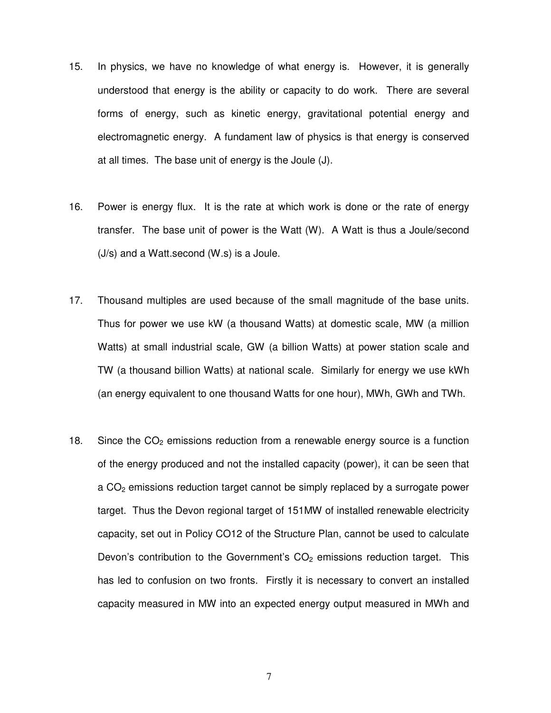- 15. In physics, we have no knowledge of what energy is. However, it is generally understood that energy is the ability or capacity to do work. There are several forms of energy, such as kinetic energy, gravitational potential energy and electromagnetic energy. A fundament law of physics is that energy is conserved at all times. The base unit of energy is the Joule (J).
- 16. Power is energy flux. It is the rate at which work is done or the rate of energy transfer. The base unit of power is the Watt (W). A Watt is thus a Joule/second (J/s) and a Watt.second (W.s) is a Joule.
- 17. Thousand multiples are used because of the small magnitude of the base units. Thus for power we use kW (a thousand Watts) at domestic scale, MW (a million Watts) at small industrial scale, GW (a billion Watts) at power station scale and TW (a thousand billion Watts) at national scale. Similarly for energy we use kWh (an energy equivalent to one thousand Watts for one hour), MWh, GWh and TWh.
- 18. Since the  $CO<sub>2</sub>$  emissions reduction from a renewable energy source is a function of the energy produced and not the installed capacity (power), it can be seen that a  $CO<sub>2</sub>$  emissions reduction target cannot be simply replaced by a surrogate power target. Thus the Devon regional target of 151MW of installed renewable electricity capacity, set out in Policy CO12 of the Structure Plan, cannot be used to calculate Devon's contribution to the Government's  $CO<sub>2</sub>$  emissions reduction target. This has led to confusion on two fronts. Firstly it is necessary to convert an installed capacity measured in MW into an expected energy output measured in MWh and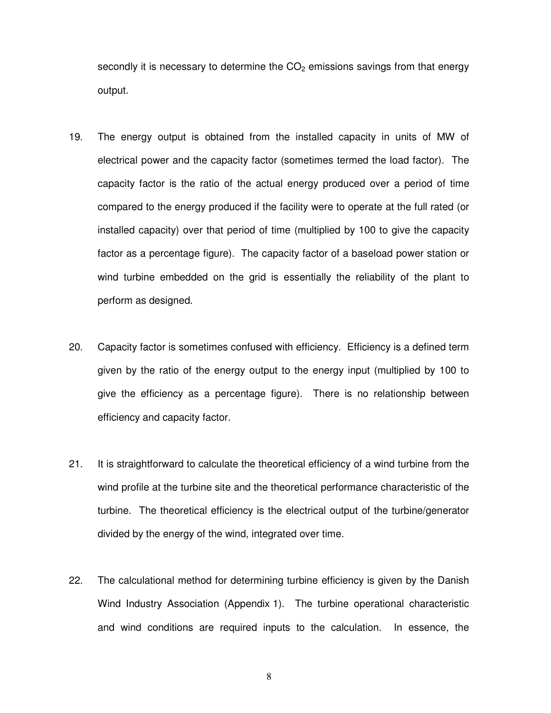secondly it is necessary to determine the  $CO<sub>2</sub>$  emissions savings from that energy output.

- 19. The energy output is obtained from the installed capacity in units of MW of electrical power and the capacity factor (sometimes termed the load factor). The capacity factor is the ratio of the actual energy produced over a period of time compared to the energy produced if the facility were to operate at the full rated (or installed capacity) over that period of time (multiplied by 100 to give the capacity factor as a percentage figure). The capacity factor of a baseload power station or wind turbine embedded on the grid is essentially the reliability of the plant to perform as designed.
- 20. Capacity factor is sometimes confused with efficiency. Efficiency is a defined term given by the ratio of the energy output to the energy input (multiplied by 100 to give the efficiency as a percentage figure). There is no relationship between efficiency and capacity factor.
- 21. It is straightforward to calculate the theoretical efficiency of a wind turbine from the wind profile at the turbine site and the theoretical performance characteristic of the turbine. The theoretical efficiency is the electrical output of the turbine/generator divided by the energy of the wind, integrated over time.
- 22. The calculational method for determining turbine efficiency is given by the Danish Wind Industry Association (Appendix 1). The turbine operational characteristic and wind conditions are required inputs to the calculation. In essence, the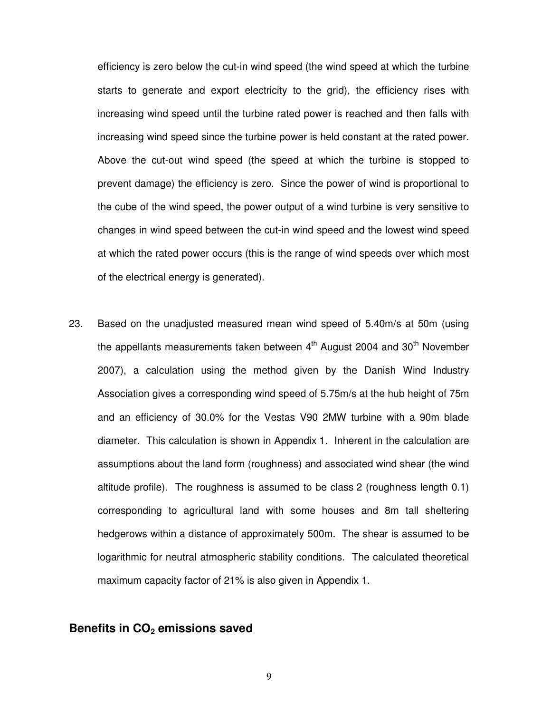efficiency is zero below the cut-in wind speed (the wind speed at which the turbine starts to generate and export electricity to the grid), the efficiency rises with increasing wind speed until the turbine rated power is reached and then falls with increasing wind speed since the turbine power is held constant at the rated power. Above the cut-out wind speed (the speed at which the turbine is stopped to prevent damage) the efficiency is zero. Since the power of wind is proportional to the cube of the wind speed, the power output of a wind turbine is very sensitive to changes in wind speed between the cut-in wind speed and the lowest wind speed at which the rated power occurs (this is the range of wind speeds over which most of the electrical energy is generated).

23. Based on the unadjusted measured mean wind speed of 5.40m/s at 50m (using the appellants measurements taken between  $4<sup>th</sup>$  August 2004 and 30<sup>th</sup> November 2007), a calculation using the method given by the Danish Wind Industry Association gives a corresponding wind speed of 5.75m/s at the hub height of 75m and an efficiency of 30.0% for the Vestas V90 2MW turbine with a 90m blade diameter. This calculation is shown in Appendix 1. Inherent in the calculation are assumptions about the land form (roughness) and associated wind shear (the wind altitude profile). The roughness is assumed to be class 2 (roughness length 0.1) corresponding to agricultural land with some houses and 8m tall sheltering hedgerows within a distance of approximately 500m. The shear is assumed to be logarithmic for neutral atmospheric stability conditions. The calculated theoretical maximum capacity factor of 21% is also given in Appendix 1.

#### **Benefits in CO2 emissions saved**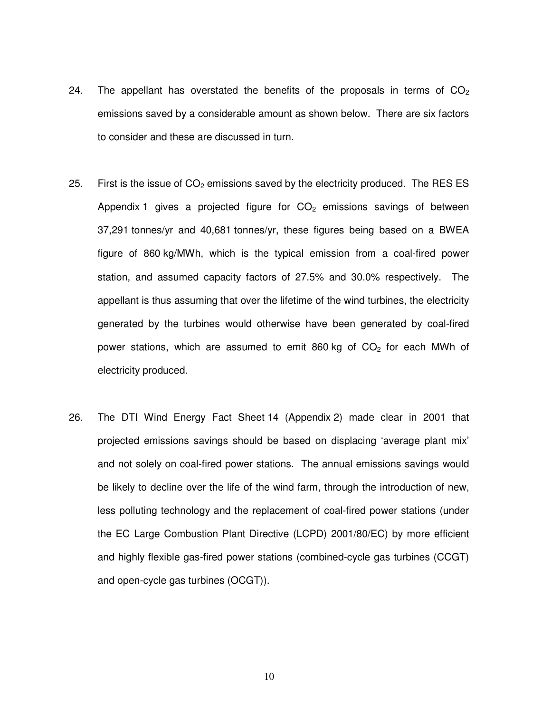- 24. The appellant has overstated the benefits of the proposals in terms of  $CO<sub>2</sub>$ emissions saved by a considerable amount as shown below. There are six factors to consider and these are discussed in turn.
- 25. First is the issue of  $CO<sub>2</sub>$  emissions saved by the electricity produced. The RES ES Appendix 1 gives a projected figure for  $CO<sub>2</sub>$  emissions savings of between 37,291 tonnes/yr and 40,681 tonnes/yr, these figures being based on a BWEA figure of 860 kg/MWh, which is the typical emission from a coal-fired power station, and assumed capacity factors of 27.5% and 30.0% respectively. The appellant is thus assuming that over the lifetime of the wind turbines, the electricity generated by the turbines would otherwise have been generated by coal-fired power stations, which are assumed to emit 860 kg of  $CO<sub>2</sub>$  for each MWh of electricity produced.
- 26. The DTI Wind Energy Fact Sheet 14 (Appendix 2) made clear in 2001 that projected emissions savings should be based on displacing 'average plant mix' and not solely on coal-fired power stations. The annual emissions savings would be likely to decline over the life of the wind farm, through the introduction of new, less polluting technology and the replacement of coal-fired power stations (under the EC Large Combustion Plant Directive (LCPD) 2001/80/EC) by more efficient and highly flexible gas-fired power stations (combined-cycle gas turbines (CCGT) and open-cycle gas turbines (OCGT)).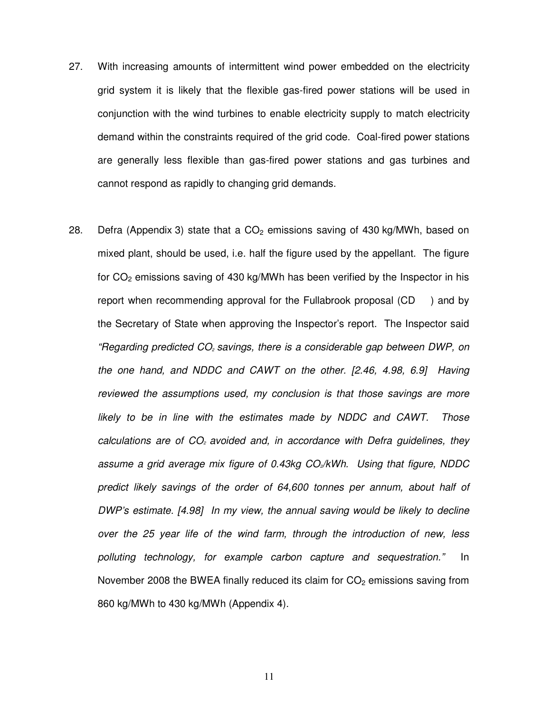- 27. With increasing amounts of intermittent wind power embedded on the electricity grid system it is likely that the flexible gas-fired power stations will be used in conjunction with the wind turbines to enable electricity supply to match electricity demand within the constraints required of the grid code. Coal-fired power stations are generally less flexible than gas-fired power stations and gas turbines and cannot respond as rapidly to changing grid demands.
- 28. Defra (Appendix 3) state that a  $CO<sub>2</sub>$  emissions saving of 430 kg/MWh, based on mixed plant, should be used, i.e. half the figure used by the appellant. The figure for  $CO<sub>2</sub>$  emissions saving of 430 kg/MWh has been verified by the Inspector in his report when recommending approval for the Fullabrook proposal (CD ) and by the Secretary of State when approving the Inspector's report. The Inspector said "Regarding predicted CO<sub>2</sub> savings, there is a considerable gap between DWP, on the one hand, and NDDC and CAWT on the other. [2.46, 4.98, 6.9] Having reviewed the assumptions used, my conclusion is that those savings are more likely to be in line with the estimates made by NDDC and CAWT. Those calculations are of  $CO<sub>2</sub>$  avoided and, in accordance with Defra guidelines, they assume a grid average mix figure of 0.43kg  $CO<sub>2</sub>/kWh$ . Using that figure, NDDC predict likely savings of the order of 64,600 tonnes per annum, about half of DWP's estimate. [4.98] In my view, the annual saving would be likely to decline over the 25 year life of the wind farm, through the introduction of new, less polluting technology, for example carbon capture and sequestration." In November 2008 the BWEA finally reduced its claim for  $CO<sub>2</sub>$  emissions saving from 860 kg/MWh to 430 kg/MWh (Appendix 4).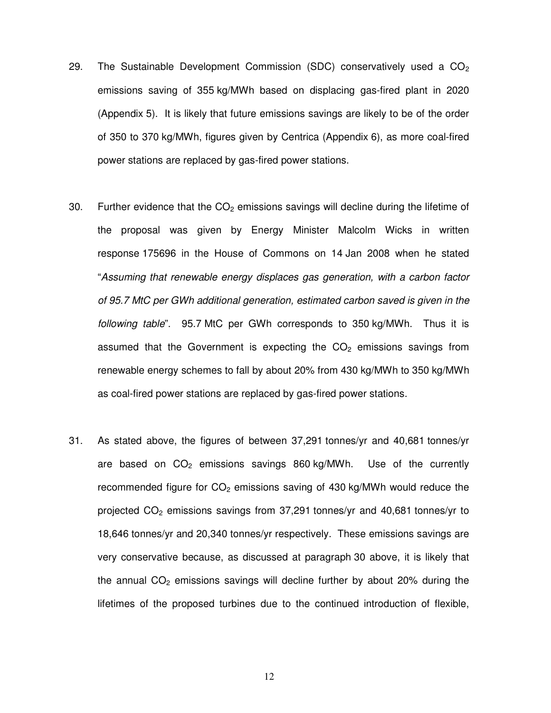- 29. The Sustainable Development Commission (SDC) conservatively used a  $CO<sub>2</sub>$ emissions saving of 355 kg/MWh based on displacing gas-fired plant in 2020 (Appendix 5). It is likely that future emissions savings are likely to be of the order of 350 to 370 kg/MWh, figures given by Centrica (Appendix 6), as more coal-fired power stations are replaced by gas-fired power stations.
- 30. Further evidence that the  $CO<sub>2</sub>$  emissions savings will decline during the lifetime of the proposal was given by Energy Minister Malcolm Wicks in written response 175696 in the House of Commons on 14 Jan 2008 when he stated "Assuming that renewable energy displaces gas generation, with a carbon factor of 95.7 MtC per GWh additional generation, estimated carbon saved is given in the following table". 95.7 MtC per GWh corresponds to 350 kg/MWh. Thus it is assumed that the Government is expecting the  $CO<sub>2</sub>$  emissions savings from renewable energy schemes to fall by about 20% from 430 kg/MWh to 350 kg/MWh as coal-fired power stations are replaced by gas-fired power stations.
- 31. As stated above, the figures of between 37,291 tonnes/yr and 40,681 tonnes/yr are based on  $CO<sub>2</sub>$  emissions savings 860 kg/MWh. Use of the currently recommended figure for  $CO<sub>2</sub>$  emissions saving of 430 kg/MWh would reduce the projected CO<sub>2</sub> emissions savings from 37,291 tonnes/yr and 40,681 tonnes/yr to 18,646 tonnes/yr and 20,340 tonnes/yr respectively. These emissions savings are very conservative because, as discussed at paragraph 30 above, it is likely that the annual  $CO<sub>2</sub>$  emissions savings will decline further by about 20% during the lifetimes of the proposed turbines due to the continued introduction of flexible,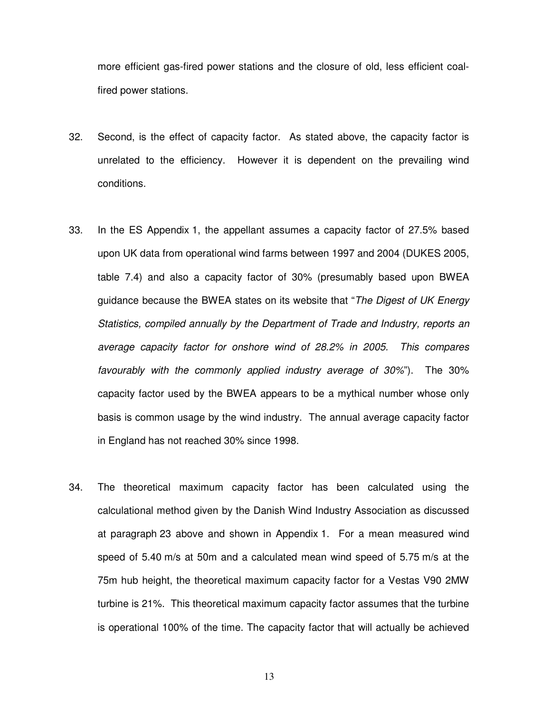more efficient gas-fired power stations and the closure of old, less efficient coalfired power stations.

- 32. Second, is the effect of capacity factor. As stated above, the capacity factor is unrelated to the efficiency. However it is dependent on the prevailing wind conditions.
- 33. In the ES Appendix 1, the appellant assumes a capacity factor of 27.5% based upon UK data from operational wind farms between 1997 and 2004 (DUKES 2005, table 7.4) and also a capacity factor of 30% (presumably based upon BWEA guidance because the BWEA states on its website that "The Digest of UK Energy Statistics, compiled annually by the Department of Trade and Industry, reports an average capacity factor for onshore wind of 28.2% in 2005. This compares favourably with the commonly applied industry average of 30%"). The 30% capacity factor used by the BWEA appears to be a mythical number whose only basis is common usage by the wind industry. The annual average capacity factor in England has not reached 30% since 1998.
- 34. The theoretical maximum capacity factor has been calculated using the calculational method given by the Danish Wind Industry Association as discussed at paragraph 23 above and shown in Appendix 1. For a mean measured wind speed of 5.40 m/s at 50m and a calculated mean wind speed of 5.75 m/s at the 75m hub height, the theoretical maximum capacity factor for a Vestas V90 2MW turbine is 21%. This theoretical maximum capacity factor assumes that the turbine is operational 100% of the time. The capacity factor that will actually be achieved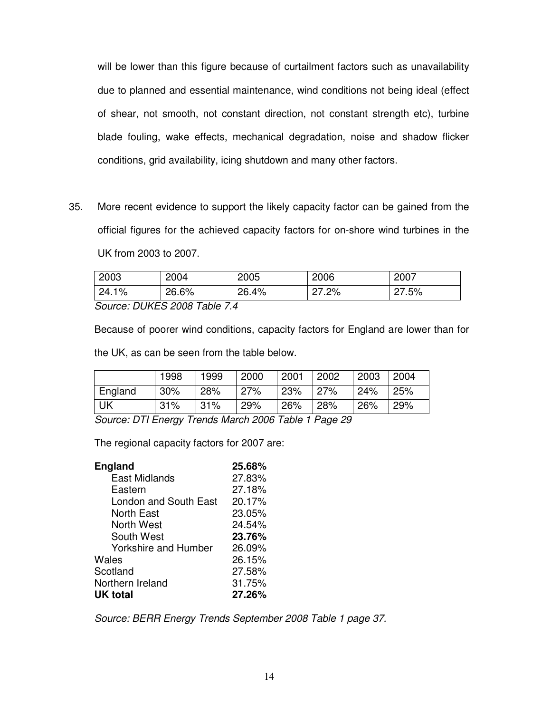will be lower than this figure because of curtailment factors such as unavailability due to planned and essential maintenance, wind conditions not being ideal (effect of shear, not smooth, not constant direction, not constant strength etc), turbine blade fouling, wake effects, mechanical degradation, noise and shadow flicker conditions, grid availability, icing shutdown and many other factors.

35. More recent evidence to support the likely capacity factor can be gained from the official figures for the achieved capacity factors for on-shore wind turbines in the UK from 2003 to 2007.

| 2003   | 2004  | 2005  | 2006  | 2007  |  |
|--------|-------|-------|-------|-------|--|
| 24.1%  | 26.6% | 26.4% | 27.2% | 27.5% |  |
| $\sim$ |       |       |       |       |  |

Source: DUKES 2008 Table 7.4

Because of poorer wind conditions, capacity factors for England are lower than for the UK, as can be seen from the table below.

|         | 1998 | 1999 | 2000 | 2001 | 2002 | 2003 | 2004 |
|---------|------|------|------|------|------|------|------|
| England | 30%  | 28%  | 27%  | 23%  | 27%  | 24%  | 25%  |
| UK      | 31%  | 31%  | 29%  | 26%  | 28%  | 26%  | 29%  |

Source: DTI Energy Trends March 2006 Table 1 Page 29

The regional capacity factors for 2007 are:

| <b>England</b>        | 25.68% |
|-----------------------|--------|
| East Midlands         | 27.83% |
| Eastern               | 27.18% |
| London and South East | 20.17% |
| North East            | 23.05% |
| North West            | 24.54% |
| South West            | 23.76% |
| Yorkshire and Humber  | 26.09% |
| Wales                 | 26.15% |
| Scotland              | 27.58% |
| Northern Ireland      | 31.75% |
| UK total              | 27.26% |

Source: BERR Energy Trends September 2008 Table 1 page 37.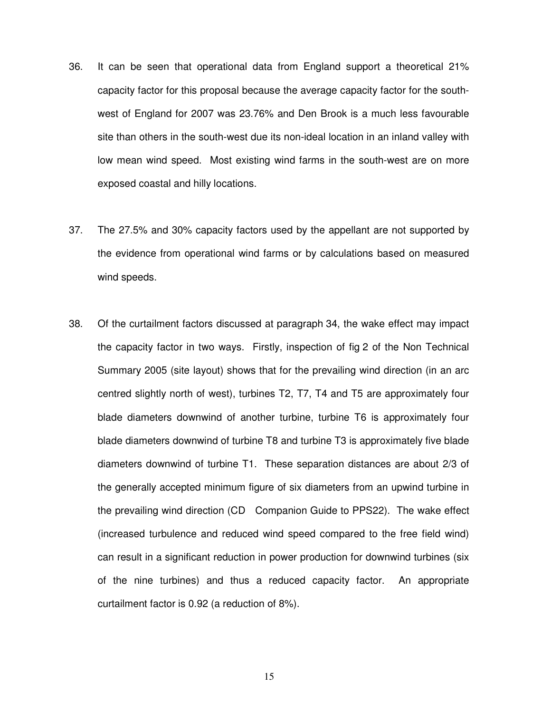- 36. It can be seen that operational data from England support a theoretical 21% capacity factor for this proposal because the average capacity factor for the southwest of England for 2007 was 23.76% and Den Brook is a much less favourable site than others in the south-west due its non-ideal location in an inland valley with low mean wind speed. Most existing wind farms in the south-west are on more exposed coastal and hilly locations.
- 37. The 27.5% and 30% capacity factors used by the appellant are not supported by the evidence from operational wind farms or by calculations based on measured wind speeds.
- 38. Of the curtailment factors discussed at paragraph 34, the wake effect may impact the capacity factor in two ways. Firstly, inspection of fig 2 of the Non Technical Summary 2005 (site layout) shows that for the prevailing wind direction (in an arc centred slightly north of west), turbines T2, T7, T4 and T5 are approximately four blade diameters downwind of another turbine, turbine T6 is approximately four blade diameters downwind of turbine T8 and turbine T3 is approximately five blade diameters downwind of turbine T1. These separation distances are about 2/3 of the generally accepted minimum figure of six diameters from an upwind turbine in the prevailing wind direction (CD Companion Guide to PPS22). The wake effect (increased turbulence and reduced wind speed compared to the free field wind) can result in a significant reduction in power production for downwind turbines (six of the nine turbines) and thus a reduced capacity factor. An appropriate curtailment factor is 0.92 (a reduction of 8%).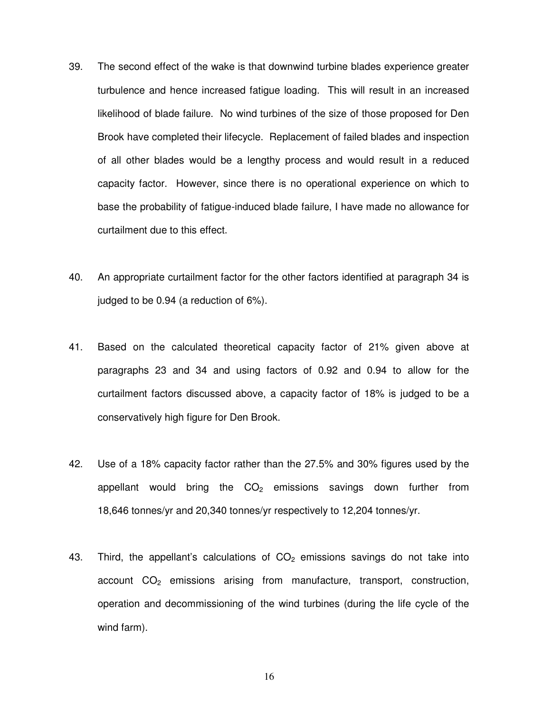- 39. The second effect of the wake is that downwind turbine blades experience greater turbulence and hence increased fatigue loading. This will result in an increased likelihood of blade failure. No wind turbines of the size of those proposed for Den Brook have completed their lifecycle. Replacement of failed blades and inspection of all other blades would be a lengthy process and would result in a reduced capacity factor. However, since there is no operational experience on which to base the probability of fatigue-induced blade failure, I have made no allowance for curtailment due to this effect.
- 40. An appropriate curtailment factor for the other factors identified at paragraph 34 is judged to be 0.94 (a reduction of 6%).
- 41. Based on the calculated theoretical capacity factor of 21% given above at paragraphs 23 and 34 and using factors of 0.92 and 0.94 to allow for the curtailment factors discussed above, a capacity factor of 18% is judged to be a conservatively high figure for Den Brook.
- 42. Use of a 18% capacity factor rather than the 27.5% and 30% figures used by the appellant would bring the  $CO<sub>2</sub>$  emissions savings down further from 18,646 tonnes/yr and 20,340 tonnes/yr respectively to 12,204 tonnes/yr.
- 43. Third, the appellant's calculations of  $CO<sub>2</sub>$  emissions savings do not take into  $account CO<sub>2</sub>$  emissions arising from manufacture, transport, construction, operation and decommissioning of the wind turbines (during the life cycle of the wind farm).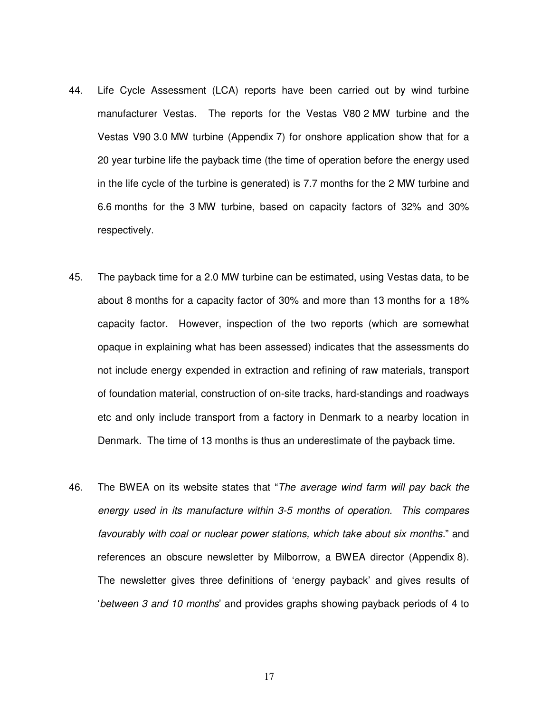- 44. Life Cycle Assessment (LCA) reports have been carried out by wind turbine manufacturer Vestas. The reports for the Vestas V80 2 MW turbine and the Vestas V90 3.0 MW turbine (Appendix 7) for onshore application show that for a 20 year turbine life the payback time (the time of operation before the energy used in the life cycle of the turbine is generated) is 7.7 months for the 2 MW turbine and 6.6 months for the 3 MW turbine, based on capacity factors of 32% and 30% respectively.
- 45. The payback time for a 2.0 MW turbine can be estimated, using Vestas data, to be about 8 months for a capacity factor of 30% and more than 13 months for a 18% capacity factor. However, inspection of the two reports (which are somewhat opaque in explaining what has been assessed) indicates that the assessments do not include energy expended in extraction and refining of raw materials, transport of foundation material, construction of on-site tracks, hard-standings and roadways etc and only include transport from a factory in Denmark to a nearby location in Denmark. The time of 13 months is thus an underestimate of the payback time.
- 46. The BWEA on its website states that "The average wind farm will pay back the energy used in its manufacture within 3-5 months of operation. This compares favourably with coal or nuclear power stations, which take about six months." and references an obscure newsletter by Milborrow, a BWEA director (Appendix 8). The newsletter gives three definitions of 'energy payback' and gives results of 'between 3 and 10 months' and provides graphs showing payback periods of 4 to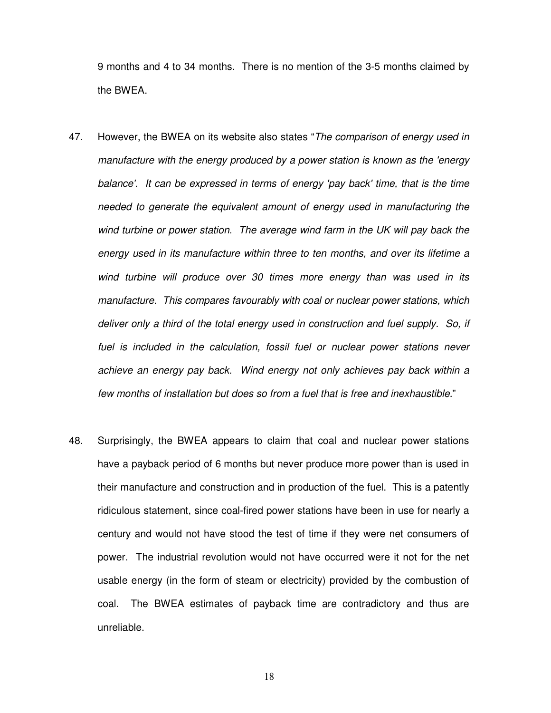9 months and 4 to 34 months. There is no mention of the 3-5 months claimed by the BWEA.

- 47. However, the BWEA on its website also states "The comparison of energy used in manufacture with the energy produced by a power station is known as the 'energy balance'. It can be expressed in terms of energy 'pay back' time, that is the time needed to generate the equivalent amount of energy used in manufacturing the wind turbine or power station. The average wind farm in the UK will pay back the energy used in its manufacture within three to ten months, and over its lifetime a wind turbine will produce over 30 times more energy than was used in its manufacture. This compares favourably with coal or nuclear power stations, which deliver only a third of the total energy used in construction and fuel supply. So, if fuel is included in the calculation, fossil fuel or nuclear power stations never achieve an energy pay back. Wind energy not only achieves pay back within a few months of installation but does so from a fuel that is free and inexhaustible."
- 48. Surprisingly, the BWEA appears to claim that coal and nuclear power stations have a payback period of 6 months but never produce more power than is used in their manufacture and construction and in production of the fuel. This is a patently ridiculous statement, since coal-fired power stations have been in use for nearly a century and would not have stood the test of time if they were net consumers of power. The industrial revolution would not have occurred were it not for the net usable energy (in the form of steam or electricity) provided by the combustion of coal. The BWEA estimates of payback time are contradictory and thus are unreliable.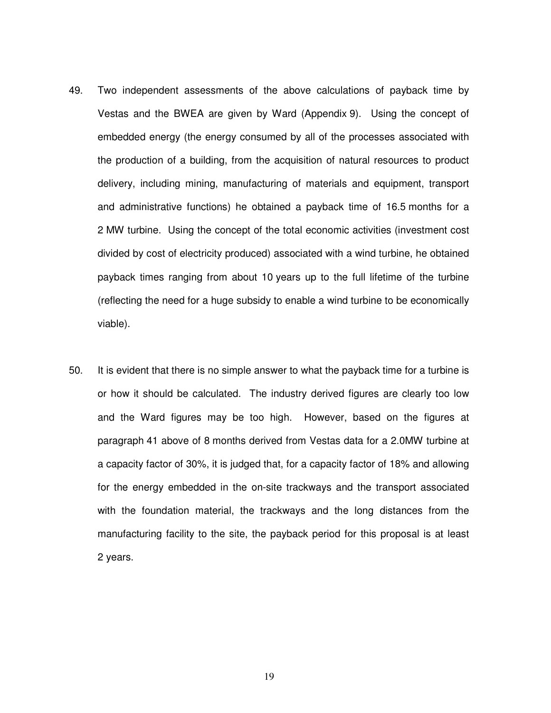- 49. Two independent assessments of the above calculations of payback time by Vestas and the BWEA are given by Ward (Appendix 9). Using the concept of embedded energy (the energy consumed by all of the processes associated with the production of a building, from the acquisition of natural resources to product delivery, including mining, manufacturing of materials and equipment, transport and administrative functions) he obtained a payback time of 16.5 months for a 2 MW turbine. Using the concept of the total economic activities (investment cost divided by cost of electricity produced) associated with a wind turbine, he obtained payback times ranging from about 10 years up to the full lifetime of the turbine (reflecting the need for a huge subsidy to enable a wind turbine to be economically viable).
- 50. It is evident that there is no simple answer to what the payback time for a turbine is or how it should be calculated. The industry derived figures are clearly too low and the Ward figures may be too high. However, based on the figures at paragraph 41 above of 8 months derived from Vestas data for a 2.0MW turbine at a capacity factor of 30%, it is judged that, for a capacity factor of 18% and allowing for the energy embedded in the on-site trackways and the transport associated with the foundation material, the trackways and the long distances from the manufacturing facility to the site, the payback period for this proposal is at least 2 years.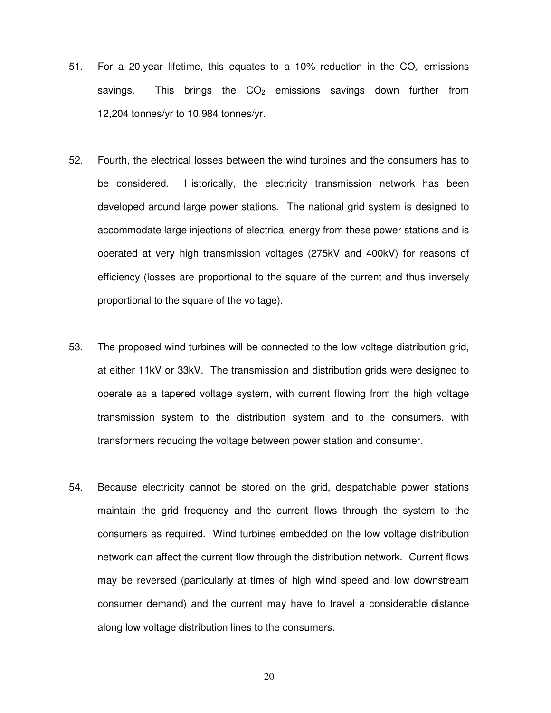- 51. For a 20 year lifetime, this equates to a 10% reduction in the  $CO<sub>2</sub>$  emissions savings. This brings the  $CO<sub>2</sub>$  emissions savings down further from 12,204 tonnes/yr to 10,984 tonnes/yr.
- 52. Fourth, the electrical losses between the wind turbines and the consumers has to be considered. Historically, the electricity transmission network has been developed around large power stations. The national grid system is designed to accommodate large injections of electrical energy from these power stations and is operated at very high transmission voltages (275kV and 400kV) for reasons of efficiency (losses are proportional to the square of the current and thus inversely proportional to the square of the voltage).
- 53. The proposed wind turbines will be connected to the low voltage distribution grid, at either 11kV or 33kV. The transmission and distribution grids were designed to operate as a tapered voltage system, with current flowing from the high voltage transmission system to the distribution system and to the consumers, with transformers reducing the voltage between power station and consumer.
- 54. Because electricity cannot be stored on the grid, despatchable power stations maintain the grid frequency and the current flows through the system to the consumers as required. Wind turbines embedded on the low voltage distribution network can affect the current flow through the distribution network. Current flows may be reversed (particularly at times of high wind speed and low downstream consumer demand) and the current may have to travel a considerable distance along low voltage distribution lines to the consumers.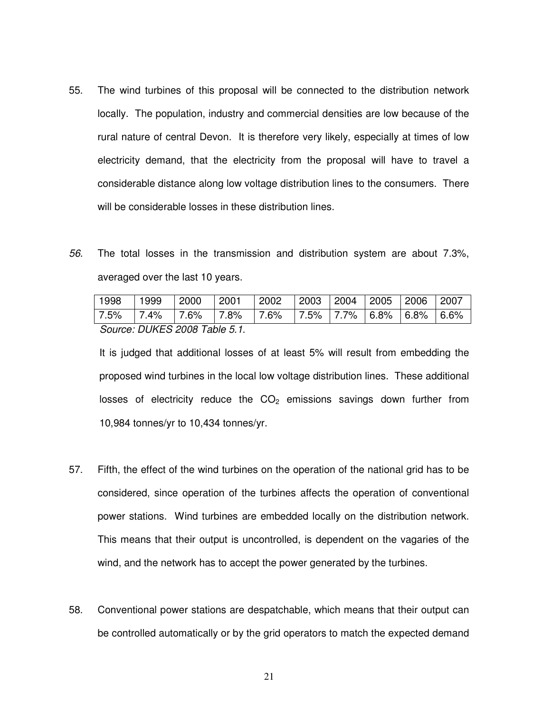- 55. The wind turbines of this proposal will be connected to the distribution network locally. The population, industry and commercial densities are low because of the rural nature of central Devon. It is therefore very likely, especially at times of low electricity demand, that the electricity from the proposal will have to travel a considerable distance along low voltage distribution lines to the consumers. There will be considerable losses in these distribution lines.
- 56. The total losses in the transmission and distribution system are about 7.3%, averaged over the last 10 years.

| 1998                          | 1999 | $ 2000 $ $ 2001 $ |  | $\mid$ 2002                                                         |  |  |  | 2003   2004   2005   2006   2007 |  |
|-------------------------------|------|-------------------|--|---------------------------------------------------------------------|--|--|--|----------------------------------|--|
|                               |      |                   |  | 7.5%   7.4%   7.6%   7.8%   7.6%   7.5%   7.7%   6.8%   6.8%   6.6% |  |  |  |                                  |  |
| Source: DUKES 2008 Table 5.1. |      |                   |  |                                                                     |  |  |  |                                  |  |

It is judged that additional losses of at least 5% will result from embedding the proposed wind turbines in the local low voltage distribution lines. These additional losses of electricity reduce the  $CO<sub>2</sub>$  emissions savings down further from 10,984 tonnes/yr to 10,434 tonnes/yr.

- 57. Fifth, the effect of the wind turbines on the operation of the national grid has to be considered, since operation of the turbines affects the operation of conventional power stations. Wind turbines are embedded locally on the distribution network. This means that their output is uncontrolled, is dependent on the vagaries of the wind, and the network has to accept the power generated by the turbines.
- 58. Conventional power stations are despatchable, which means that their output can be controlled automatically or by the grid operators to match the expected demand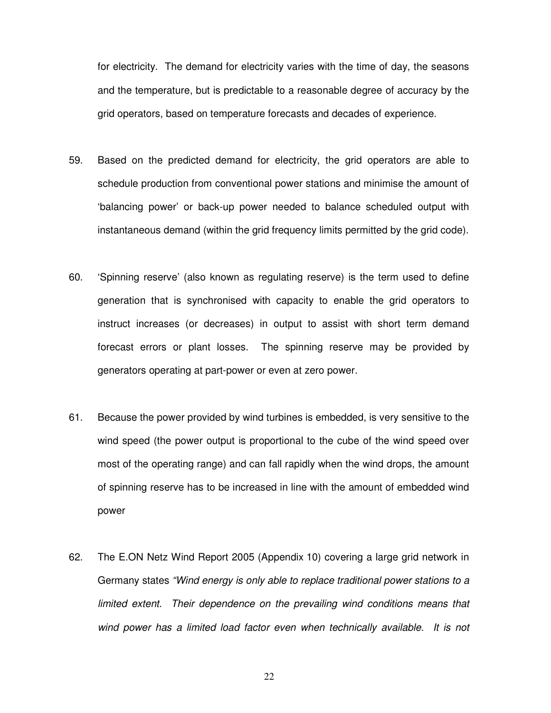for electricity. The demand for electricity varies with the time of day, the seasons and the temperature, but is predictable to a reasonable degree of accuracy by the grid operators, based on temperature forecasts and decades of experience.

- 59. Based on the predicted demand for electricity, the grid operators are able to schedule production from conventional power stations and minimise the amount of 'balancing power' or back-up power needed to balance scheduled output with instantaneous demand (within the grid frequency limits permitted by the grid code).
- 60. 'Spinning reserve' (also known as regulating reserve) is the term used to define generation that is synchronised with capacity to enable the grid operators to instruct increases (or decreases) in output to assist with short term demand forecast errors or plant losses. The spinning reserve may be provided by generators operating at part-power or even at zero power.
- 61. Because the power provided by wind turbines is embedded, is very sensitive to the wind speed (the power output is proportional to the cube of the wind speed over most of the operating range) and can fall rapidly when the wind drops, the amount of spinning reserve has to be increased in line with the amount of embedded wind power
- 62. The E.ON Netz Wind Report 2005 (Appendix 10) covering a large grid network in Germany states "Wind energy is only able to replace traditional power stations to a limited extent. Their dependence on the prevailing wind conditions means that wind power has a limited load factor even when technically available. It is not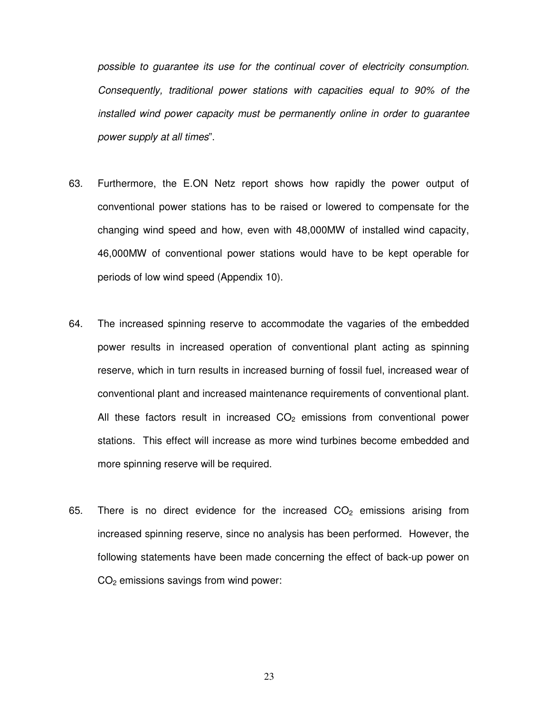possible to guarantee its use for the continual cover of electricity consumption. Consequently, traditional power stations with capacities equal to 90% of the installed wind power capacity must be permanently online in order to guarantee power supply at all times".

- 63. Furthermore, the E.ON Netz report shows how rapidly the power output of conventional power stations has to be raised or lowered to compensate for the changing wind speed and how, even with 48,000MW of installed wind capacity, 46,000MW of conventional power stations would have to be kept operable for periods of low wind speed (Appendix 10).
- 64. The increased spinning reserve to accommodate the vagaries of the embedded power results in increased operation of conventional plant acting as spinning reserve, which in turn results in increased burning of fossil fuel, increased wear of conventional plant and increased maintenance requirements of conventional plant. All these factors result in increased  $CO<sub>2</sub>$  emissions from conventional power stations. This effect will increase as more wind turbines become embedded and more spinning reserve will be required.
- 65. There is no direct evidence for the increased  $CO<sub>2</sub>$  emissions arising from increased spinning reserve, since no analysis has been performed. However, the following statements have been made concerning the effect of back-up power on  $CO<sub>2</sub>$  emissions savings from wind power: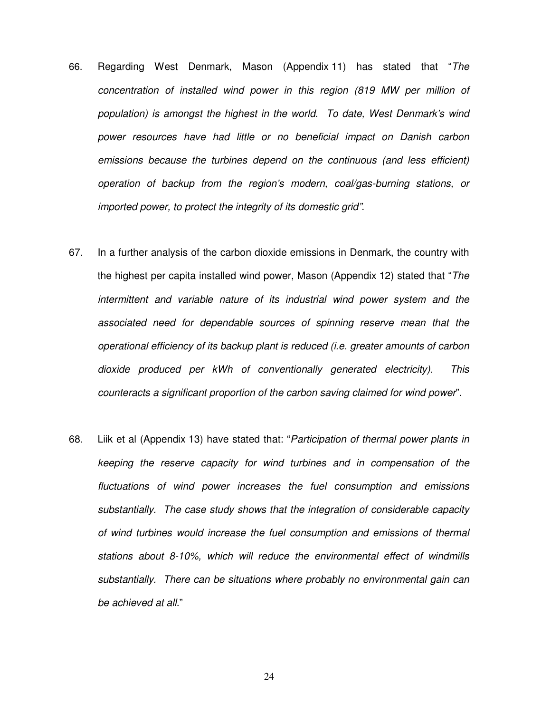- 66. Regarding West Denmark, Mason (Appendix 11) has stated that "The concentration of installed wind power in this region (819 MW per million of population) is amongst the highest in the world. To date, West Denmark's wind power resources have had little or no beneficial impact on Danish carbon emissions because the turbines depend on the continuous (and less efficient) operation of backup from the region's modern, coal/gas-burning stations, or imported power, to protect the integrity of its domestic grid".
- 67. In a further analysis of the carbon dioxide emissions in Denmark, the country with the highest per capita installed wind power, Mason (Appendix 12) stated that "The intermittent and variable nature of its industrial wind power system and the associated need for dependable sources of spinning reserve mean that the operational efficiency of its backup plant is reduced (i.e. greater amounts of carbon dioxide produced per kWh of conventionally generated electricity). This counteracts a significant proportion of the carbon saving claimed for wind power".
- 68. Liik et al (Appendix 13) have stated that: "Participation of thermal power plants in keeping the reserve capacity for wind turbines and in compensation of the fluctuations of wind power increases the fuel consumption and emissions substantially. The case study shows that the integration of considerable capacity of wind turbines would increase the fuel consumption and emissions of thermal stations about 8-10%, which will reduce the environmental effect of windmills substantially. There can be situations where probably no environmental gain can be achieved at all."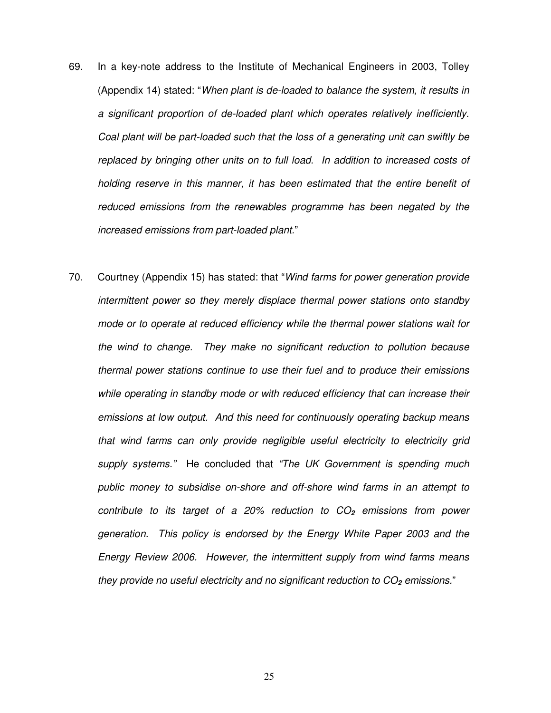- 69. In a key-note address to the Institute of Mechanical Engineers in 2003, Tolley (Appendix 14) stated: "When plant is de-loaded to balance the system, it results in a significant proportion of de-loaded plant which operates relatively inefficiently. Coal plant will be part-loaded such that the loss of a generating unit can swiftly be replaced by bringing other units on to full load. In addition to increased costs of holding reserve in this manner, it has been estimated that the entire benefit of reduced emissions from the renewables programme has been negated by the increased emissions from part-loaded plant."
- 70. Courtney (Appendix 15) has stated: that "Wind farms for power generation provide intermittent power so they merely displace thermal power stations onto standby mode or to operate at reduced efficiency while the thermal power stations wait for the wind to change. They make no significant reduction to pollution because thermal power stations continue to use their fuel and to produce their emissions while operating in standby mode or with reduced efficiency that can increase their emissions at low output. And this need for continuously operating backup means that wind farms can only provide negligible useful electricity to electricity grid supply systems." He concluded that "The UK Government is spending much public money to subsidise on-shore and off-shore wind farms in an attempt to contribute to its target of a 20% reduction to CO**2** emissions from power generation. This policy is endorsed by the Energy White Paper 2003 and the Energy Review 2006. However, the intermittent supply from wind farms means they provide no useful electricity and no significant reduction to CO<sub>2</sub> emissions."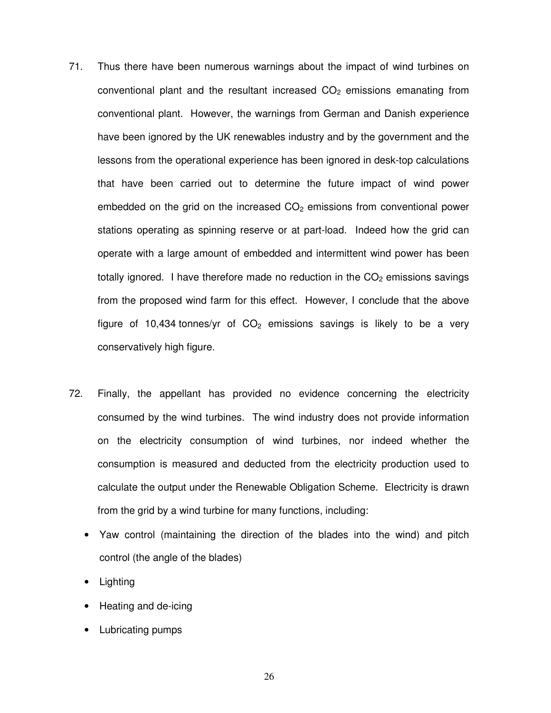- 71. Thus there have been numerous warnings about the impact of wind turbines on conventional plant and the resultant increased  $CO<sub>2</sub>$  emissions emanating from conventional plant. However, the warnings from German and Danish experience have been ignored by the UK renewables industry and by the government and the lessons from the operational experience has been ignored in desk-top calculations that have been carried out to determine the future impact of wind power embedded on the grid on the increased  $CO<sub>2</sub>$  emissions from conventional power stations operating as spinning reserve or at part-load. Indeed how the grid can operate with a large amount of embedded and intermittent wind power has been totally ignored. I have therefore made no reduction in the  $CO<sub>2</sub>$  emissions savings from the proposed wind farm for this effect. However, I conclude that the above figure of 10,434 tonnes/yr of  $CO<sub>2</sub>$  emissions savings is likely to be a very conservatively high figure.
- 72. Finally, the appellant has provided no evidence concerning the electricity consumed by the wind turbines. The wind industry does not provide information on the electricity consumption of wind turbines, nor indeed whether the consumption is measured and deducted from the electricity production used to calculate the output under the Renewable Obligation Scheme. Electricity is drawn from the grid by a wind turbine for many functions, including:
	- Yaw control (maintaining the direction of the blades into the wind) and pitch control (the angle of the blades)
	- Lighting
	- Heating and de-icing
	- Lubricating pumps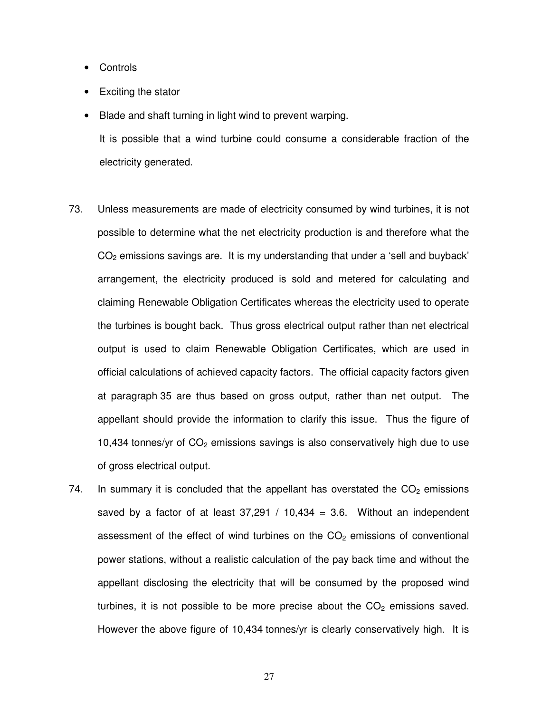- Controls
- Exciting the stator
- Blade and shaft turning in light wind to prevent warping.

It is possible that a wind turbine could consume a considerable fraction of the electricity generated.

- 73. Unless measurements are made of electricity consumed by wind turbines, it is not possible to determine what the net electricity production is and therefore what the  $CO<sub>2</sub>$  emissions savings are. It is my understanding that under a 'sell and buyback' arrangement, the electricity produced is sold and metered for calculating and claiming Renewable Obligation Certificates whereas the electricity used to operate the turbines is bought back. Thus gross electrical output rather than net electrical output is used to claim Renewable Obligation Certificates, which are used in official calculations of achieved capacity factors. The official capacity factors given at paragraph 35 are thus based on gross output, rather than net output. The appellant should provide the information to clarify this issue. Thus the figure of 10,434 tonnes/yr of  $CO<sub>2</sub>$  emissions savings is also conservatively high due to use of gross electrical output.
- 74. In summary it is concluded that the appellant has overstated the  $CO<sub>2</sub>$  emissions saved by a factor of at least  $37,291$  /  $10,434 = 3.6$ . Without an independent assessment of the effect of wind turbines on the  $CO<sub>2</sub>$  emissions of conventional power stations, without a realistic calculation of the pay back time and without the appellant disclosing the electricity that will be consumed by the proposed wind turbines, it is not possible to be more precise about the  $CO<sub>2</sub>$  emissions saved. However the above figure of 10,434 tonnes/yr is clearly conservatively high. It is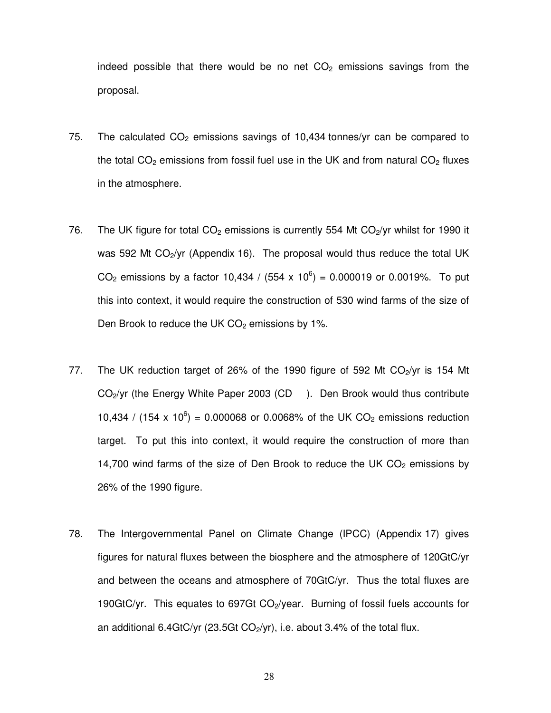indeed possible that there would be no net  $CO<sub>2</sub>$  emissions savings from the proposal.

- 75. The calculated  $CO<sub>2</sub>$  emissions savings of 10,434 tonnes/yr can be compared to the total  $CO<sub>2</sub>$  emissions from fossil fuel use in the UK and from natural  $CO<sub>2</sub>$  fluxes in the atmosphere.
- 76. The UK figure for total  $CO<sub>2</sub>$  emissions is currently 554 Mt  $CO<sub>2</sub>/yr$  whilst for 1990 it was 592 Mt  $CO<sub>2</sub>/yr$  (Appendix 16). The proposal would thus reduce the total UK CO<sub>2</sub> emissions by a factor 10,434 / (554 x 10<sup>6</sup>) = 0.000019 or 0.0019%. To put this into context, it would require the construction of 530 wind farms of the size of Den Brook to reduce the UK  $CO<sub>2</sub>$  emissions by 1%.
- 77. The UK reduction target of 26% of the 1990 figure of 592 Mt CO<sub>2</sub>/yr is 154 Mt  $CO<sub>2</sub>/yr$  (the Energy White Paper 2003 (CD ). Den Brook would thus contribute 10,434 / (154 x 10<sup>6</sup>) = 0.000068 or 0.0068% of the UK CO<sub>2</sub> emissions reduction target. To put this into context, it would require the construction of more than 14,700 wind farms of the size of Den Brook to reduce the UK  $CO<sub>2</sub>$  emissions by 26% of the 1990 figure.
- 78. The Intergovernmental Panel on Climate Change (IPCC) (Appendix 17) gives figures for natural fluxes between the biosphere and the atmosphere of 120GtC/yr and between the oceans and atmosphere of 70GtC/yr. Thus the total fluxes are 190GtC/yr. This equates to 697Gt  $CO<sub>2</sub>/year$ . Burning of fossil fuels accounts for an additional 6.4GtC/yr (23.5Gt  $CO<sub>2</sub>/yr$ ), i.e. about 3.4% of the total flux.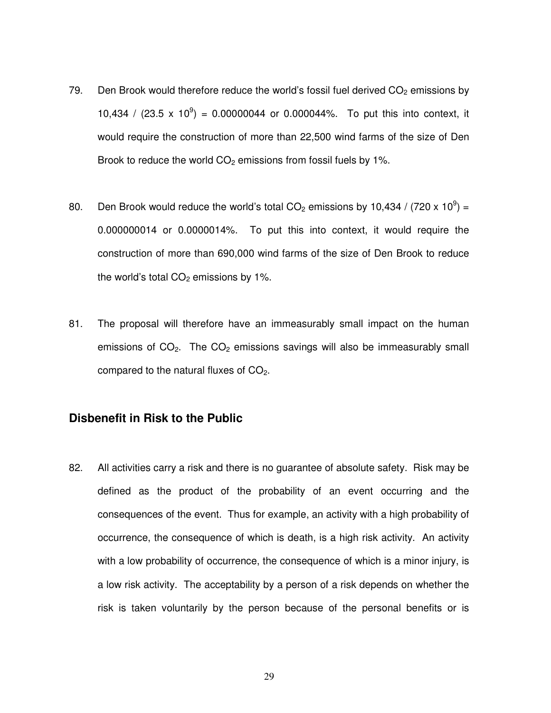- 79. Den Brook would therefore reduce the world's fossil fuel derived  $CO<sub>2</sub>$  emissions by 10,434 /  $(23.5 \times 10^9) = 0.00000044$  or 0.000044%. To put this into context, it would require the construction of more than 22,500 wind farms of the size of Den Brook to reduce the world  $CO<sub>2</sub>$  emissions from fossil fuels by 1%.
- 80. Den Brook would reduce the world's total CO<sub>2</sub> emissions by 10,434 / (720 x 10<sup>9</sup>) = 0.000000014 or 0.0000014%. To put this into context, it would require the construction of more than 690,000 wind farms of the size of Den Brook to reduce the world's total  $CO<sub>2</sub>$  emissions by 1%.
- 81. The proposal will therefore have an immeasurably small impact on the human emissions of  $CO<sub>2</sub>$ . The  $CO<sub>2</sub>$  emissions savings will also be immeasurably small compared to the natural fluxes of  $CO<sub>2</sub>$ .

#### **Disbenefit in Risk to the Public**

82. All activities carry a risk and there is no guarantee of absolute safety. Risk may be defined as the product of the probability of an event occurring and the consequences of the event. Thus for example, an activity with a high probability of occurrence, the consequence of which is death, is a high risk activity. An activity with a low probability of occurrence, the consequence of which is a minor injury, is a low risk activity. The acceptability by a person of a risk depends on whether the risk is taken voluntarily by the person because of the personal benefits or is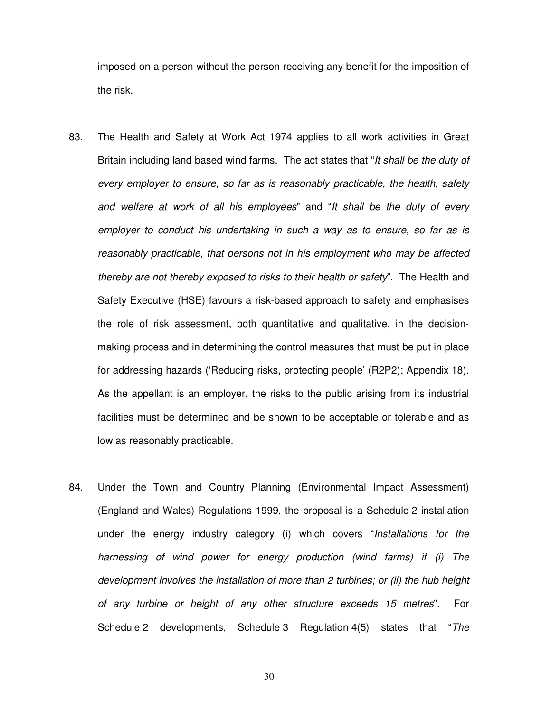imposed on a person without the person receiving any benefit for the imposition of the risk.

- 83. The Health and Safety at Work Act 1974 applies to all work activities in Great Britain including land based wind farms. The act states that "It shall be the duty of every employer to ensure, so far as is reasonably practicable, the health, safety and welfare at work of all his employees" and "It shall be the duty of every employer to conduct his undertaking in such a way as to ensure, so far as is reasonably practicable, that persons not in his employment who may be affected thereby are not thereby exposed to risks to their health or safety". The Health and Safety Executive (HSE) favours a risk-based approach to safety and emphasises the role of risk assessment, both quantitative and qualitative, in the decisionmaking process and in determining the control measures that must be put in place for addressing hazards ('Reducing risks, protecting people' (R2P2); Appendix 18). As the appellant is an employer, the risks to the public arising from its industrial facilities must be determined and be shown to be acceptable or tolerable and as low as reasonably practicable.
- 84. Under the Town and Country Planning (Environmental Impact Assessment) (England and Wales) Regulations 1999, the proposal is a Schedule 2 installation under the energy industry category (i) which covers "Installations for the harnessing of wind power for energy production (wind farms) if (i) The development involves the installation of more than 2 turbines; or (ii) the hub height of any turbine or height of any other structure exceeds 15 metres". For Schedule 2 developments, Schedule 3 Regulation 4(5) states that "The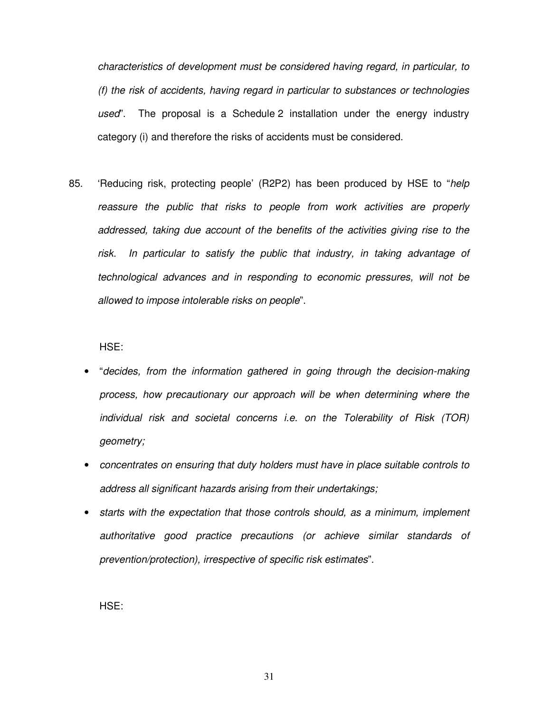characteristics of development must be considered having regard, in particular, to (f) the risk of accidents, having regard in particular to substances or technologies used". The proposal is a Schedule 2 installation under the energy industry category (i) and therefore the risks of accidents must be considered.

85. 'Reducing risk, protecting people' (R2P2) has been produced by HSE to "help reassure the public that risks to people from work activities are properly addressed, taking due account of the benefits of the activities giving rise to the risk. In particular to satisfy the public that industry, in taking advantage of technological advances and in responding to economic pressures, will not be allowed to impose intolerable risks on people".

HSE:

- "decides, from the information gathered in going through the decision-making process, how precautionary our approach will be when determining where the individual risk and societal concerns i.e. on the Tolerability of Risk (TOR) geometry;
- concentrates on ensuring that duty holders must have in place suitable controls to address all significant hazards arising from their undertakings;
- starts with the expectation that those controls should, as a minimum, implement authoritative good practice precautions (or achieve similar standards of prevention/protection), irrespective of specific risk estimates".

HSE: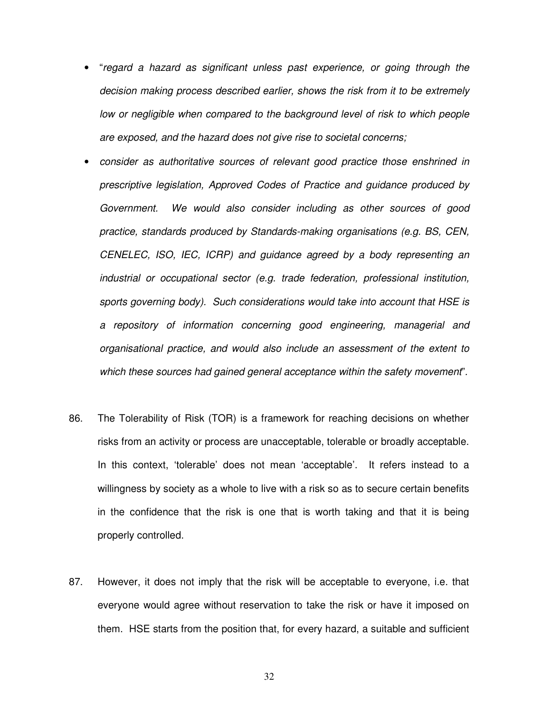- "regard a hazard as significant unless past experience, or going through the decision making process described earlier, shows the risk from it to be extremely low or negligible when compared to the background level of risk to which people are exposed, and the hazard does not give rise to societal concerns;
- consider as authoritative sources of relevant good practice those enshrined in prescriptive legislation, Approved Codes of Practice and guidance produced by Government. We would also consider including as other sources of good practice, standards produced by Standards-making organisations (e.g. BS, CEN, CENELEC, ISO, IEC, ICRP) and guidance agreed by a body representing an industrial or occupational sector (e.g. trade federation, professional institution, sports governing body). Such considerations would take into account that HSE is a repository of information concerning good engineering, managerial and organisational practice, and would also include an assessment of the extent to which these sources had gained general acceptance within the safety movement".
- 86. The Tolerability of Risk (TOR) is a framework for reaching decisions on whether risks from an activity or process are unacceptable, tolerable or broadly acceptable. In this context, 'tolerable' does not mean 'acceptable'. It refers instead to a willingness by society as a whole to live with a risk so as to secure certain benefits in the confidence that the risk is one that is worth taking and that it is being properly controlled.
- 87. However, it does not imply that the risk will be acceptable to everyone, i.e. that everyone would agree without reservation to take the risk or have it imposed on them. HSE starts from the position that, for every hazard, a suitable and sufficient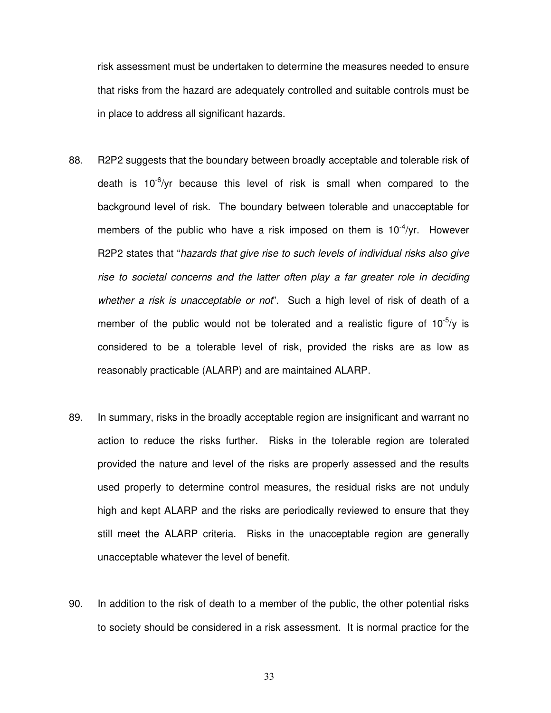risk assessment must be undertaken to determine the measures needed to ensure that risks from the hazard are adequately controlled and suitable controls must be in place to address all significant hazards.

- 88. R2P2 suggests that the boundary between broadly acceptable and tolerable risk of death is  $10^{-6}/yr$  because this level of risk is small when compared to the background level of risk. The boundary between tolerable and unacceptable for members of the public who have a risk imposed on them is  $10^{-4}/yr$ . However R2P2 states that "hazards that give rise to such levels of individual risks also give rise to societal concerns and the latter often play a far greater role in deciding whether a risk is unacceptable or not". Such a high level of risk of death of a member of the public would not be tolerated and a realistic figure of  $10^{-5}/y$  is considered to be a tolerable level of risk, provided the risks are as low as reasonably practicable (ALARP) and are maintained ALARP.
- 89. In summary, risks in the broadly acceptable region are insignificant and warrant no action to reduce the risks further. Risks in the tolerable region are tolerated provided the nature and level of the risks are properly assessed and the results used properly to determine control measures, the residual risks are not unduly high and kept ALARP and the risks are periodically reviewed to ensure that they still meet the ALARP criteria. Risks in the unacceptable region are generally unacceptable whatever the level of benefit.
- 90. In addition to the risk of death to a member of the public, the other potential risks to society should be considered in a risk assessment. It is normal practice for the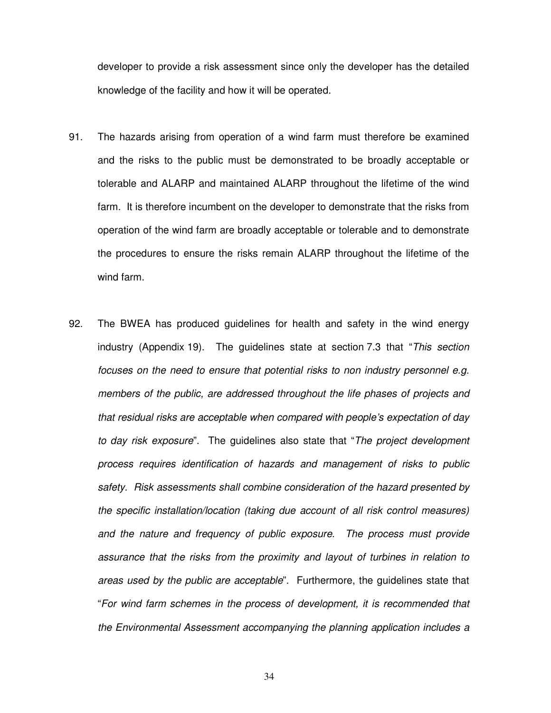developer to provide a risk assessment since only the developer has the detailed knowledge of the facility and how it will be operated.

- 91. The hazards arising from operation of a wind farm must therefore be examined and the risks to the public must be demonstrated to be broadly acceptable or tolerable and ALARP and maintained ALARP throughout the lifetime of the wind farm. It is therefore incumbent on the developer to demonstrate that the risks from operation of the wind farm are broadly acceptable or tolerable and to demonstrate the procedures to ensure the risks remain ALARP throughout the lifetime of the wind farm.
- 92. The BWEA has produced guidelines for health and safety in the wind energy industry (Appendix 19). The guidelines state at section 7.3 that "This section focuses on the need to ensure that potential risks to non industry personnel e.g. members of the public, are addressed throughout the life phases of projects and that residual risks are acceptable when compared with people's expectation of day to day risk exposure". The guidelines also state that "The project development process requires identification of hazards and management of risks to public safety. Risk assessments shall combine consideration of the hazard presented by the specific installation/location (taking due account of all risk control measures) and the nature and frequency of public exposure. The process must provide assurance that the risks from the proximity and layout of turbines in relation to areas used by the public are acceptable". Furthermore, the guidelines state that "For wind farm schemes in the process of development, it is recommended that the Environmental Assessment accompanying the planning application includes a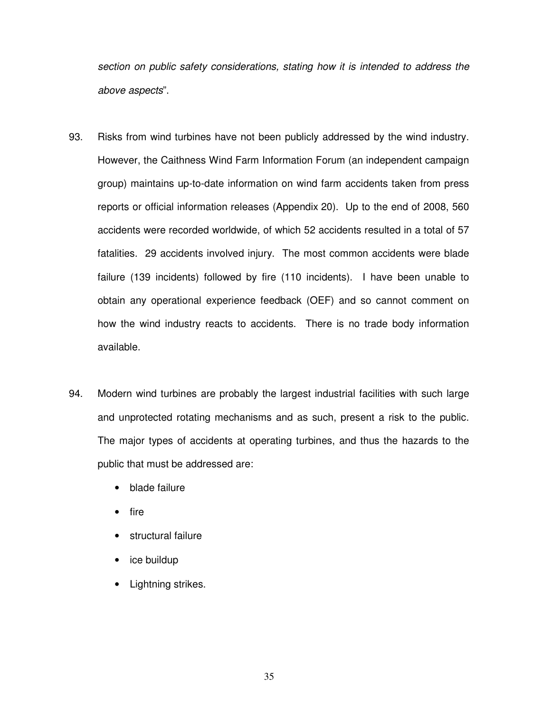section on public safety considerations, stating how it is intended to address the above aspects".

- 93. Risks from wind turbines have not been publicly addressed by the wind industry. However, the Caithness Wind Farm Information Forum (an independent campaign group) maintains up-to-date information on wind farm accidents taken from press reports or official information releases (Appendix 20). Up to the end of 2008, 560 accidents were recorded worldwide, of which 52 accidents resulted in a total of 57 fatalities. 29 accidents involved injury. The most common accidents were blade failure (139 incidents) followed by fire (110 incidents). I have been unable to obtain any operational experience feedback (OEF) and so cannot comment on how the wind industry reacts to accidents. There is no trade body information available.
- 94. Modern wind turbines are probably the largest industrial facilities with such large and unprotected rotating mechanisms and as such, present a risk to the public. The major types of accidents at operating turbines, and thus the hazards to the public that must be addressed are:
	- blade failure
	- fire
	- structural failure
	- ice buildup
	- Lightning strikes.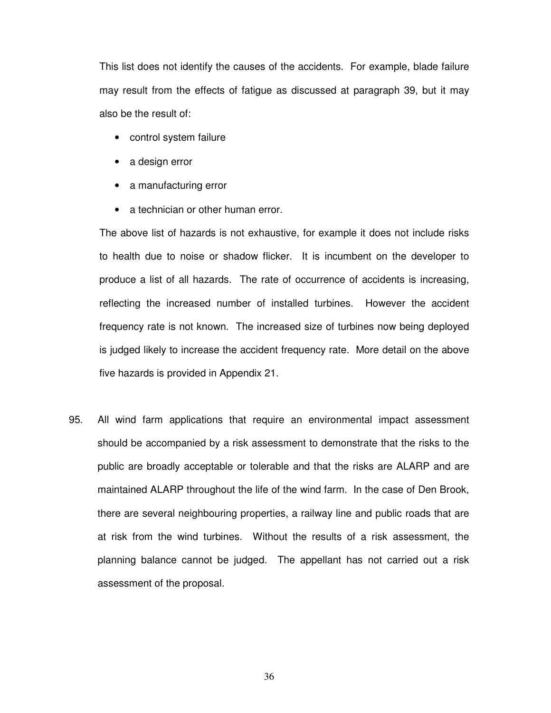This list does not identify the causes of the accidents. For example, blade failure may result from the effects of fatigue as discussed at paragraph 39, but it may also be the result of:

- control system failure
- a design error
- a manufacturing error
- a technician or other human error.

The above list of hazards is not exhaustive, for example it does not include risks to health due to noise or shadow flicker. It is incumbent on the developer to produce a list of all hazards. The rate of occurrence of accidents is increasing, reflecting the increased number of installed turbines. However the accident frequency rate is not known. The increased size of turbines now being deployed is judged likely to increase the accident frequency rate. More detail on the above five hazards is provided in Appendix 21.

95. All wind farm applications that require an environmental impact assessment should be accompanied by a risk assessment to demonstrate that the risks to the public are broadly acceptable or tolerable and that the risks are ALARP and are maintained ALARP throughout the life of the wind farm. In the case of Den Brook, there are several neighbouring properties, a railway line and public roads that are at risk from the wind turbines. Without the results of a risk assessment, the planning balance cannot be judged. The appellant has not carried out a risk assessment of the proposal.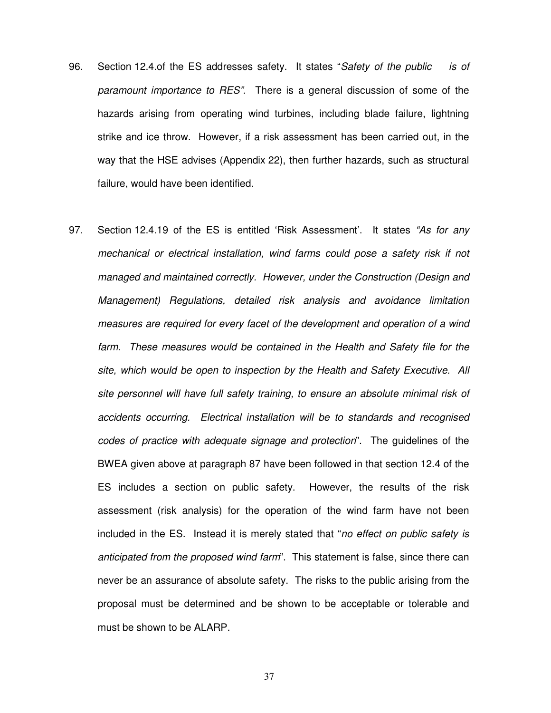- 96. Section 12.4.of the ES addresses safety. It states "Safety of the public is of paramount importance to RES". There is a general discussion of some of the hazards arising from operating wind turbines, including blade failure, lightning strike and ice throw. However, if a risk assessment has been carried out, in the way that the HSE advises (Appendix 22), then further hazards, such as structural failure, would have been identified.
- 97. Section 12.4.19 of the ES is entitled 'Risk Assessment'. It states "As for any mechanical or electrical installation, wind farms could pose a safety risk if not managed and maintained correctly. However, under the Construction (Design and Management) Regulations, detailed risk analysis and avoidance limitation measures are required for every facet of the development and operation of a wind farm. These measures would be contained in the Health and Safety file for the site, which would be open to inspection by the Health and Safety Executive. All site personnel will have full safety training, to ensure an absolute minimal risk of accidents occurring. Electrical installation will be to standards and recognised codes of practice with adequate signage and protection". The guidelines of the BWEA given above at paragraph 87 have been followed in that section 12.4 of the ES includes a section on public safety. However, the results of the risk assessment (risk analysis) for the operation of the wind farm have not been included in the ES. Instead it is merely stated that "no effect on public safety is anticipated from the proposed wind farm". This statement is false, since there can never be an assurance of absolute safety. The risks to the public arising from the proposal must be determined and be shown to be acceptable or tolerable and must be shown to be ALARP.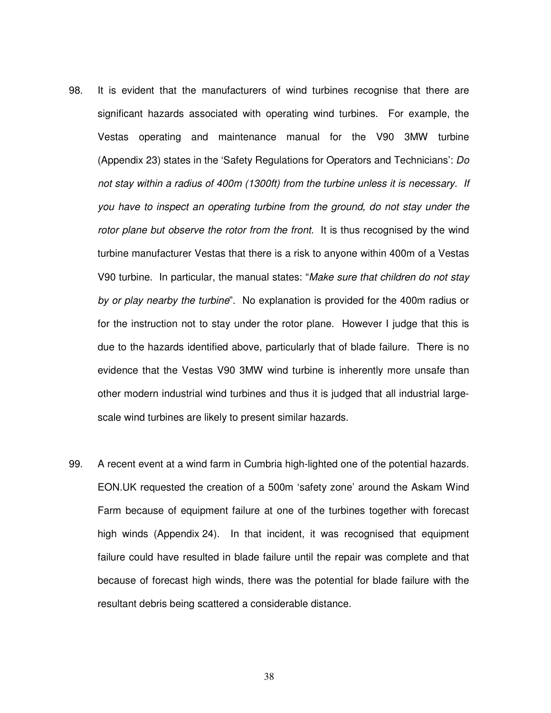- 98. It is evident that the manufacturers of wind turbines recognise that there are significant hazards associated with operating wind turbines. For example, the Vestas operating and maintenance manual for the V90 3MW turbine (Appendix 23) states in the 'Safety Regulations for Operators and Technicians': Do not stay within a radius of 400m (1300ft) from the turbine unless it is necessary. If you have to inspect an operating turbine from the ground, do not stay under the rotor plane but observe the rotor from the front. It is thus recognised by the wind turbine manufacturer Vestas that there is a risk to anyone within 400m of a Vestas V90 turbine. In particular, the manual states: "Make sure that children do not stay by or play nearby the turbine". No explanation is provided for the 400m radius or for the instruction not to stay under the rotor plane. However I judge that this is due to the hazards identified above, particularly that of blade failure. There is no evidence that the Vestas V90 3MW wind turbine is inherently more unsafe than other modern industrial wind turbines and thus it is judged that all industrial largescale wind turbines are likely to present similar hazards.
- 99. A recent event at a wind farm in Cumbria high-lighted one of the potential hazards. EON.UK requested the creation of a 500m 'safety zone' around the Askam Wind Farm because of equipment failure at one of the turbines together with forecast high winds (Appendix 24). In that incident, it was recognised that equipment failure could have resulted in blade failure until the repair was complete and that because of forecast high winds, there was the potential for blade failure with the resultant debris being scattered a considerable distance.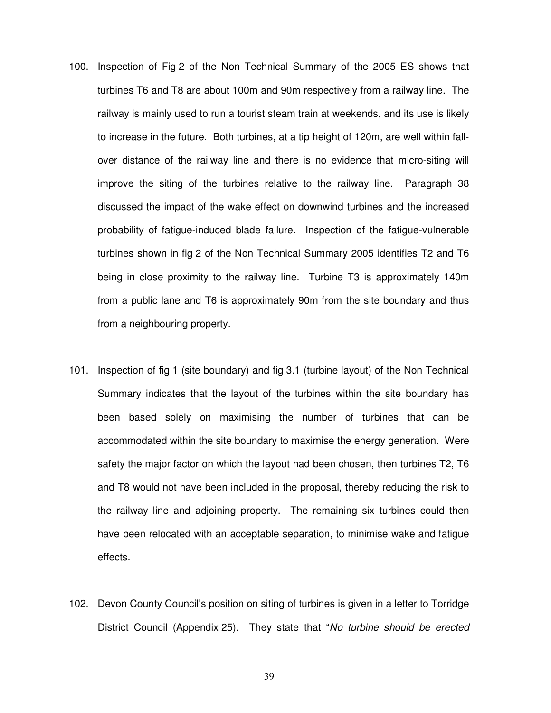- 100. Inspection of Fig 2 of the Non Technical Summary of the 2005 ES shows that turbines T6 and T8 are about 100m and 90m respectively from a railway line. The railway is mainly used to run a tourist steam train at weekends, and its use is likely to increase in the future. Both turbines, at a tip height of 120m, are well within fallover distance of the railway line and there is no evidence that micro-siting will improve the siting of the turbines relative to the railway line. Paragraph 38 discussed the impact of the wake effect on downwind turbines and the increased probability of fatigue-induced blade failure. Inspection of the fatigue-vulnerable turbines shown in fig 2 of the Non Technical Summary 2005 identifies T2 and T6 being in close proximity to the railway line. Turbine T3 is approximately 140m from a public lane and T6 is approximately 90m from the site boundary and thus from a neighbouring property.
- 101. Inspection of fig 1 (site boundary) and fig 3.1 (turbine layout) of the Non Technical Summary indicates that the layout of the turbines within the site boundary has been based solely on maximising the number of turbines that can be accommodated within the site boundary to maximise the energy generation. Were safety the major factor on which the layout had been chosen, then turbines T2, T6 and T8 would not have been included in the proposal, thereby reducing the risk to the railway line and adjoining property. The remaining six turbines could then have been relocated with an acceptable separation, to minimise wake and fatigue effects.
- 102. Devon County Council's position on siting of turbines is given in a letter to Torridge District Council (Appendix 25). They state that "No turbine should be erected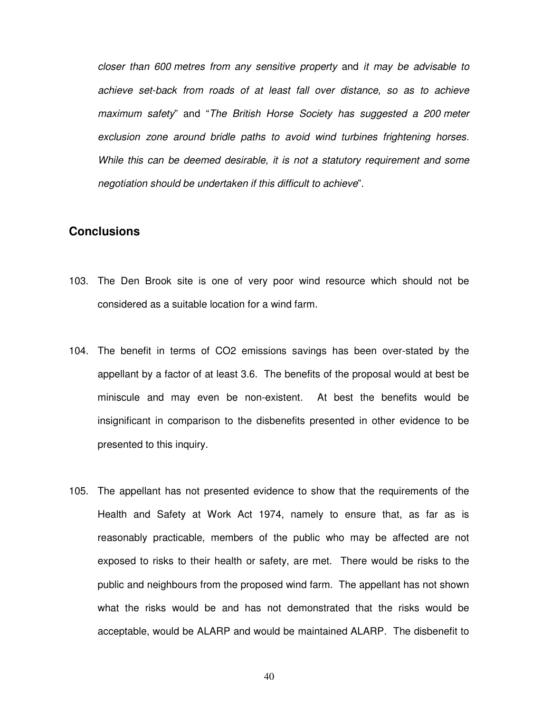closer than 600 metres from any sensitive property and it may be advisable to achieve set-back from roads of at least fall over distance, so as to achieve maximum safety" and "The British Horse Society has suggested a 200 meter exclusion zone around bridle paths to avoid wind turbines frightening horses. While this can be deemed desirable, it is not a statutory requirement and some negotiation should be undertaken if this difficult to achieve".

#### **Conclusions**

- 103. The Den Brook site is one of very poor wind resource which should not be considered as a suitable location for a wind farm.
- 104. The benefit in terms of CO2 emissions savings has been over-stated by the appellant by a factor of at least 3.6. The benefits of the proposal would at best be miniscule and may even be non-existent. At best the benefits would be insignificant in comparison to the disbenefits presented in other evidence to be presented to this inquiry.
- 105. The appellant has not presented evidence to show that the requirements of the Health and Safety at Work Act 1974, namely to ensure that, as far as is reasonably practicable, members of the public who may be affected are not exposed to risks to their health or safety, are met. There would be risks to the public and neighbours from the proposed wind farm. The appellant has not shown what the risks would be and has not demonstrated that the risks would be acceptable, would be ALARP and would be maintained ALARP. The disbenefit to